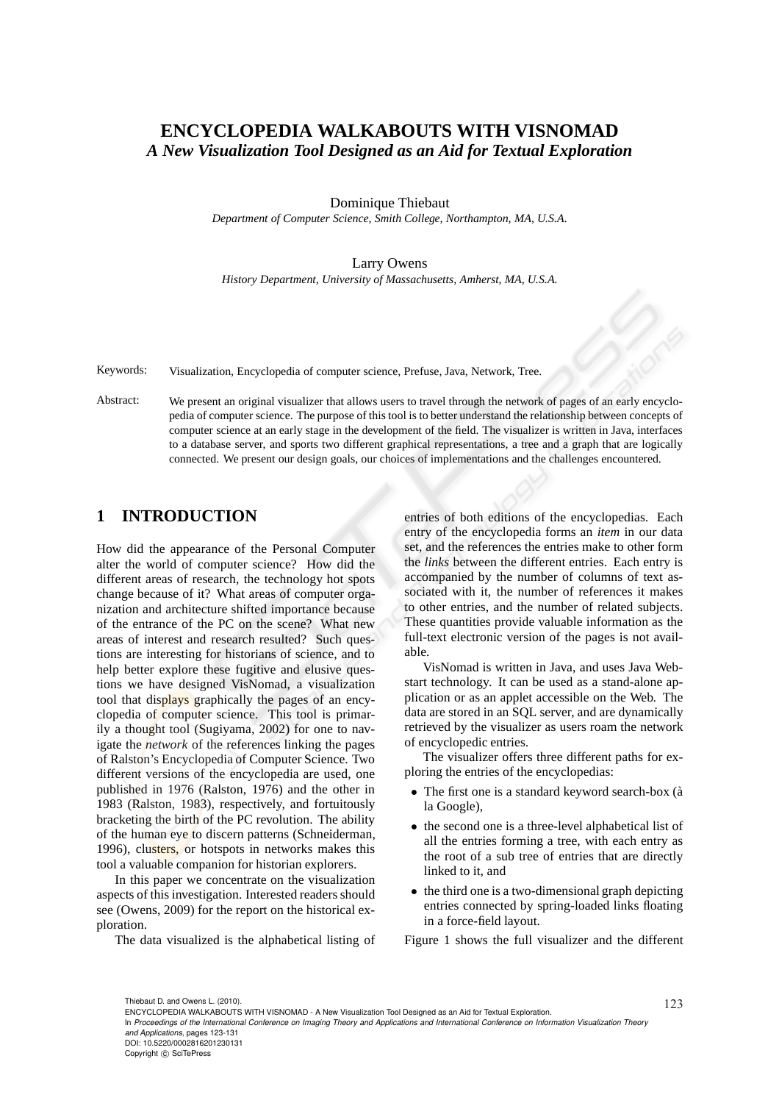# **ENCYCLOPEDIA WALKABOUTS WITH VISNOMAD** *A New Visualization Tool Designed as an Aid for Textual Exploration*

Dominique Thiebaut

*Department of Computer Science, Smith College, Northampton, MA, U.S.A.*

#### Larry Owens

*History Department, University of Massachusetts, Amherst, MA, U.S.A.*

Keywords: Visualization, Encyclopedia of computer science, Prefuse, Java, Network, Tree.

Abstract: We present an original visualizer that allows users to travel through the network of pages of an early encyclopedia of computer science. The purpose of this tool is to better understand the relationship between concepts of computer science at an early stage in the development of the field. The visualizer is written in Java, interfaces to a database server, and sports two different graphical representations, a tree and a graph that are logically connected. We present our design goals, our choices of implementations and the challenges encountered.

## **1 INTRODUCTION**

How did the appearance of the Personal Computer alter the world of computer science? How did the different areas of research, the technology hot spots change because of it? What areas of computer organization and architecture shifted importance because of the entrance of the PC on the scene? What new areas of interest and research resulted? Such questions are interesting for historians of science, and to help better explore these fugitive and elusive questions we have designed VisNomad, a visualization tool that displays graphically the pages of an encyclopedia of computer science. This tool is primarily a thought tool (Sugiyama, 2002) for one to navigate the *network* of the references linking the pages of Ralston's Encyclopedia of Computer Science. Two different versions of the encyclopedia are used, one published in 1976 (Ralston, 1976) and the other in 1983 (Ralston, 1983), respectively, and fortuitously bracketing the birth of the PC revolution. The ability of the human eye to discern patterns (Schneiderman, 1996), clusters, or hotspots in networks makes this tool a valuable companion for historian explorers.

In this paper we concentrate on the visualization aspects of this investigation. Interested readers should see (Owens, 2009) for the report on the historical exploration.

The data visualized is the alphabetical listing of

entries of both editions of the encyclopedias. Each entry of the encyclopedia forms an *item* in our data set, and the references the entries make to other form the *links* between the different entries. Each entry is accompanied by the number of columns of text associated with it, the number of references it makes to other entries, and the number of related subjects. These quantities provide valuable information as the full-text electronic version of the pages is not available.

VisNomad is written in Java, and uses Java Webstart technology. It can be used as a stand-alone application or as an applet accessible on the Web. The data are stored in an SQL server, and are dynamically retrieved by the visualizer as users roam the network of encyclopedic entries.

The visualizer offers three different paths for exploring the entries of the encyclopedias:

- The first one is a standard keyword search-box (à la Google),
- the second one is a three-level alphabetical list of all the entries forming a tree, with each entry as the root of a sub tree of entries that are directly linked to it, and
- the third one is a two-dimensional graph depicting entries connected by spring-loaded links floating in a force-field layout.

Figure 1 shows the full visualizer and the different

123 Thiebaut D. and Owens L. (2010). ENCYCLOPEDIA WALKABOUTS WITH VISNOMAD - A New Visualization Tool Designed as an Aid for Textual Exploration.

In *Proceedings of the International Conference on Imaging Theory and Applications and International Conference on Information Visualization Theory and Applications*, pages 123-131

DOI: 10.5220/0002816201230131

Copyright © SciTePress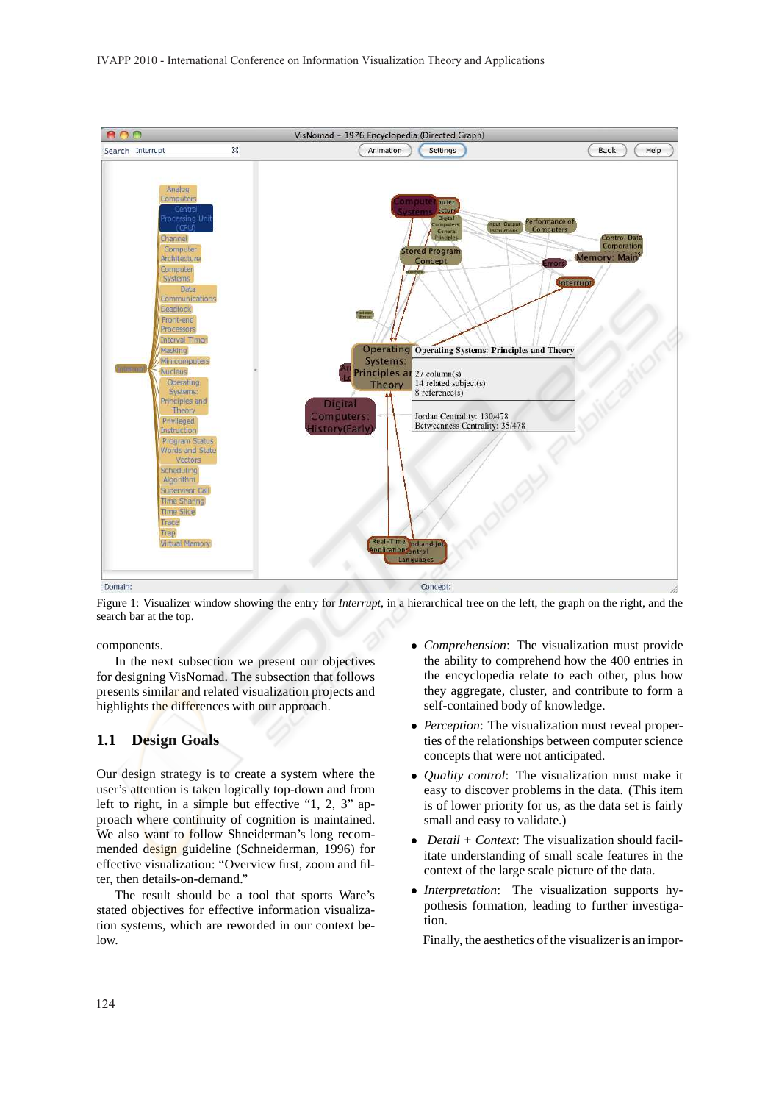

Figure 1: Visualizer window showing the entry for *Interrupt*, in a hierarchical tree on the left, the graph on the right, and the search bar at the top.

components.

In the next subsection we present our objectives for designing VisNomad. The subsection that follows presents similar and related visualization projects and highlights the differences with our approach.

#### **1.1 Design Goals**

Our design strategy is to create a system where the user's attention is taken logically top-down and from left to right, in a simple but effective "1, 2, 3" approach where continuity of cognition is maintained. We also want to follow Shneiderman's long recommended design guideline (Schneiderman, 1996) for effective visualization: "Overview first, zoom and filter, then details-on-demand."

The result should be a tool that sports Ware's stated objectives for effective information visualization systems, which are reworded in our context below.

- *Comprehension*: The visualization must provide the ability to comprehend how the 400 entries in the encyclopedia relate to each other, plus how they aggregate, cluster, and contribute to form a self-contained body of knowledge.
- *Perception*: The visualization must reveal properties of the relationships between computer science concepts that were not anticipated.
- *Quality control*: The visualization must make it easy to discover problems in the data. (This item is of lower priority for us, as the data set is fairly small and easy to validate.)
- *Detail + Context*: The visualization should facilitate understanding of small scale features in the context of the large scale picture of the data.
- *Interpretation*: The visualization supports hypothesis formation, leading to further investigation.

Finally, the aesthetics of the visualizer is an impor-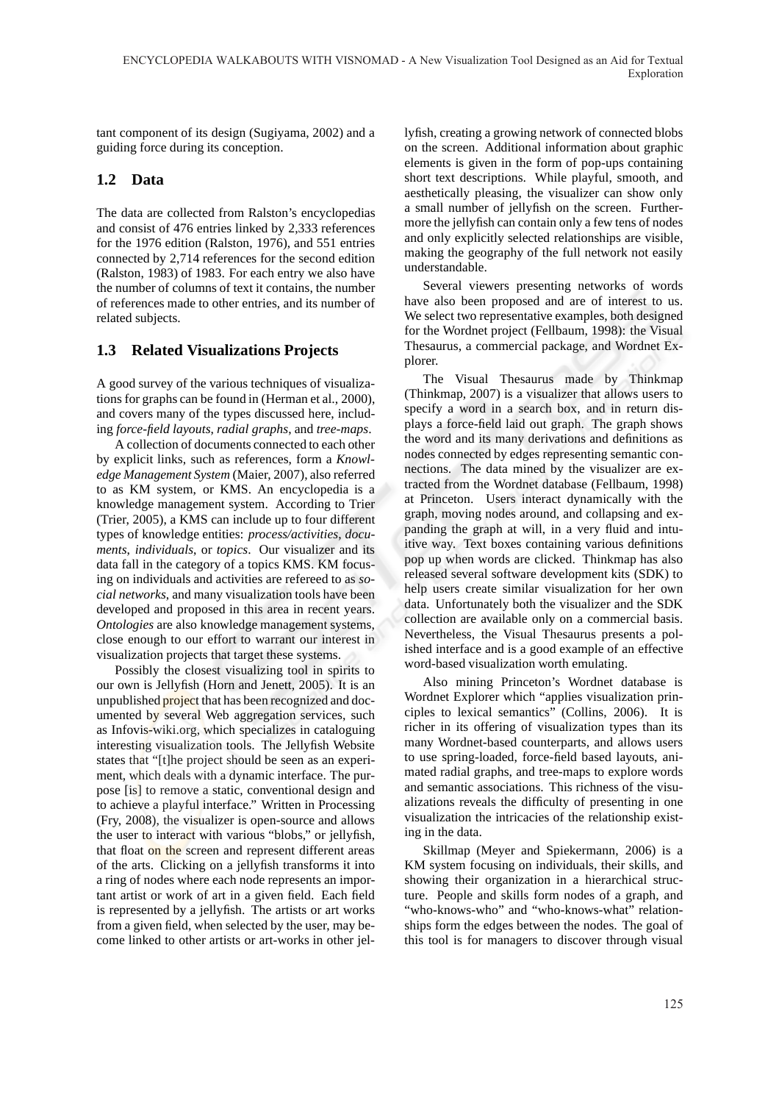tant component of its design (Sugiyama, 2002) and a guiding force during its conception.

## **1.2 Data**

The data are collected from Ralston's encyclopedias and consist of 476 entries linked by 2,333 references for the 1976 edition (Ralston, 1976), and 551 entries connected by 2,714 references for the second edition (Ralston, 1983) of 1983. For each entry we also have the number of columns of text it contains, the number of references made to other entries, and its number of related subjects.

## **1.3 Related Visualizations Projects**

A good survey of the various techniques of visualizations for graphs can be found in (Herman et al., 2000), and covers many of the types discussed here, including *force-field layouts*, *radial graphs*, and *tree-maps*.

A collection of documents connected to each other by explicit links, such as references, form a *Knowledge Management System* (Maier, 2007), also referred to as KM system, or KMS. An encyclopedia is a knowledge management system. According to Trier (Trier, 2005), a KMS can include up to four different types of knowledge entities: *process/activities*, *documents*, *individuals*, or *topics*. Our visualizer and its data fall in the category of a topics KMS. KM focusing on individuals and activities are refereed to as *social networks*, and many visualization tools have been developed and proposed in this area in recent years. *Ontologies* are also knowledge management systems, close enough to our effort to warrant our interest in visualization projects that target these systems.

Possibly the closest visualizing tool in spirits to our own is Jellyfish (Horn and Jenett, 2005). It is an unpublished **project** that has been recognized and documented by several Web aggregation services, such as Infovis-wiki.org, which specializes in cataloguing interesting visualization tools. The Jellyfish Website states that "[t]he project should be seen as an experiment, which deals with a dynamic interface. The purpose [is] to remove a static, conventional design and to achieve a playful interface." Written in Processing (Fry, 2008), the visualizer is open-source and allows the user to interact with various "blobs," or jellyfish, that float on the screen and represent different areas of the arts. Clicking on a jellyfish transforms it into a ring of nodes where each node represents an important artist or work of art in a given field. Each field is represented by a jellyfish. The artists or art works from a given field, when selected by the user, may become linked to other artists or art-works in other jellyfish, creating a growing network of connected blobs on the screen. Additional information about graphic elements is given in the form of pop-ups containing short text descriptions. While playful, smooth, and aesthetically pleasing, the visualizer can show only a small number of jellyfish on the screen. Furthermore the jellyfish can contain only a few tens of nodes and only explicitly selected relationships are visible, making the geography of the full network not easily understandable.

Several viewers presenting networks of words have also been proposed and are of interest to us. We select two representative examples, both designed for the Wordnet project (Fellbaum, 1998): the Visual Thesaurus, a commercial package, and Wordnet Explorer.

The Visual Thesaurus made by Thinkmap (Thinkmap, 2007) is a visualizer that allows users to specify a word in a search box, and in return displays a force-field laid out graph. The graph shows the word and its many derivations and definitions as nodes connected by edges representing semantic connections. The data mined by the visualizer are extracted from the Wordnet database (Fellbaum, 1998) at Princeton. Users interact dynamically with the graph, moving nodes around, and collapsing and expanding the graph at will, in a very fluid and intuitive way. Text boxes containing various definitions pop up when words are clicked. Thinkmap has also released several software development kits (SDK) to help users create similar visualization for her own data. Unfortunately both the visualizer and the SDK collection are available only on a commercial basis. Nevertheless, the Visual Thesaurus presents a polished interface and is a good example of an effective word-based visualization worth emulating.

Also mining Princeton's Wordnet database is Wordnet Explorer which "applies visualization principles to lexical semantics" (Collins, 2006). It is richer in its offering of visualization types than its many Wordnet-based counterparts, and allows users to use spring-loaded, force-field based layouts, animated radial graphs, and tree-maps to explore words and semantic associations. This richness of the visualizations reveals the difficulty of presenting in one visualization the intricacies of the relationship existing in the data.

Skillmap (Meyer and Spiekermann, 2006) is a KM system focusing on individuals, their skills, and showing their organization in a hierarchical structure. People and skills form nodes of a graph, and "who-knows-who" and "who-knows-what" relationships form the edges between the nodes. The goal of this tool is for managers to discover through visual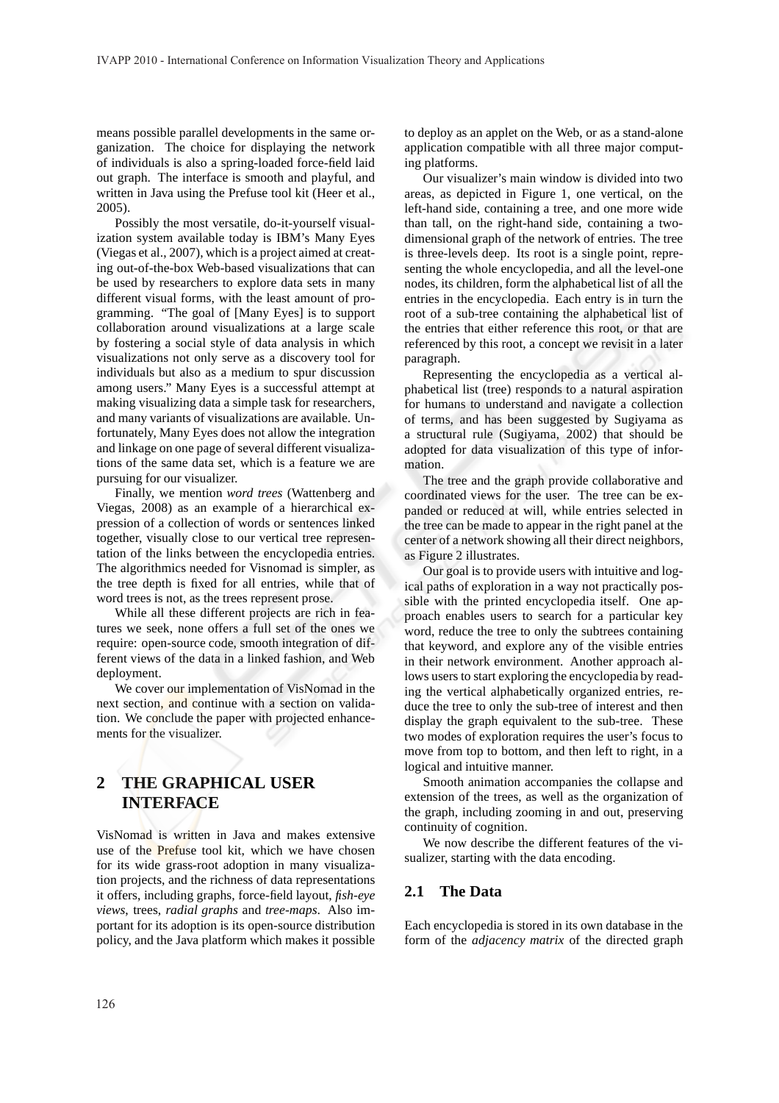means possible parallel developments in the same organization. The choice for displaying the network of individuals is also a spring-loaded force-field laid out graph. The interface is smooth and playful, and written in Java using the Prefuse tool kit (Heer et al., 2005).

Possibly the most versatile, do-it-yourself visualization system available today is IBM's Many Eyes (Viegas et al., 2007), which is a project aimed at creating out-of-the-box Web-based visualizations that can be used by researchers to explore data sets in many different visual forms, with the least amount of programming. "The goal of [Many Eyes] is to support collaboration around visualizations at a large scale by fostering a social style of data analysis in which visualizations not only serve as a discovery tool for individuals but also as a medium to spur discussion among users." Many Eyes is a successful attempt at making visualizing data a simple task for researchers, and many variants of visualizations are available. Unfortunately, Many Eyes does not allow the integration and linkage on one page of several different visualizations of the same data set, which is a feature we are pursuing for our visualizer.

Finally, we mention *word trees* (Wattenberg and Viegas, 2008) as an example of a hierarchical expression of a collection of words or sentences linked together, visually close to our vertical tree representation of the links between the encyclopedia entries. The algorithmics needed for Visnomad is simpler, as the tree depth is fixed for all entries, while that of word trees is not, as the trees represent prose.

While all these different projects are rich in features we seek, none offers a full set of the ones we require: open-source code, smooth integration of different views of the data in a linked fashion, and Web deployment.

We cover our implementation of VisNomad in the next section, and continue with a section on validation. We conclude the paper with projected enhancements for the visualizer.

## **2 THE GRAPHICAL USER INTERFACE**

VisNomad is written in Java and makes extensive use of the **Prefuse** tool kit, which we have chosen for its wide grass-root adoption in many visualization projects, and the richness of data representations it offers, including graphs, force-field layout, *fish-eye views*, trees, *radial graphs* and *tree-maps*. Also important for its adoption is its open-source distribution policy, and the Java platform which makes it possible to deploy as an applet on the Web, or as a stand-alone application compatible with all three major computing platforms.

Our visualizer's main window is divided into two areas, as depicted in Figure 1, one vertical, on the left-hand side, containing a tree, and one more wide than tall, on the right-hand side, containing a twodimensional graph of the network of entries. The tree is three-levels deep. Its root is a single point, representing the whole encyclopedia, and all the level-one nodes, its children, form the alphabetical list of all the entries in the encyclopedia. Each entry is in turn the root of a sub-tree containing the alphabetical list of the entries that either reference this root, or that are referenced by this root, a concept we revisit in a later paragraph.

Representing the encyclopedia as a vertical alphabetical list (tree) responds to a natural aspiration for humans to understand and navigate a collection of terms, and has been suggested by Sugiyama as a structural rule (Sugiyama, 2002) that should be adopted for data visualization of this type of information.

The tree and the graph provide collaborative and coordinated views for the user. The tree can be expanded or reduced at will, while entries selected in the tree can be made to appear in the right panel at the center of a network showing all their direct neighbors, as Figure 2 illustrates.

Our goal is to provide users with intuitive and logical paths of exploration in a way not practically possible with the printed encyclopedia itself. One approach enables users to search for a particular key word, reduce the tree to only the subtrees containing that keyword, and explore any of the visible entries in their network environment. Another approach allows users to start exploring the encyclopedia by reading the vertical alphabetically organized entries, reduce the tree to only the sub-tree of interest and then display the graph equivalent to the sub-tree. These two modes of exploration requires the user's focus to move from top to bottom, and then left to right, in a logical and intuitive manner.

Smooth animation accompanies the collapse and extension of the trees, as well as the organization of the graph, including zooming in and out, preserving continuity of cognition.

We now describe the different features of the visualizer, starting with the data encoding.

#### **2.1 The Data**

Each encyclopedia is stored in its own database in the form of the *adjacency matrix* of the directed graph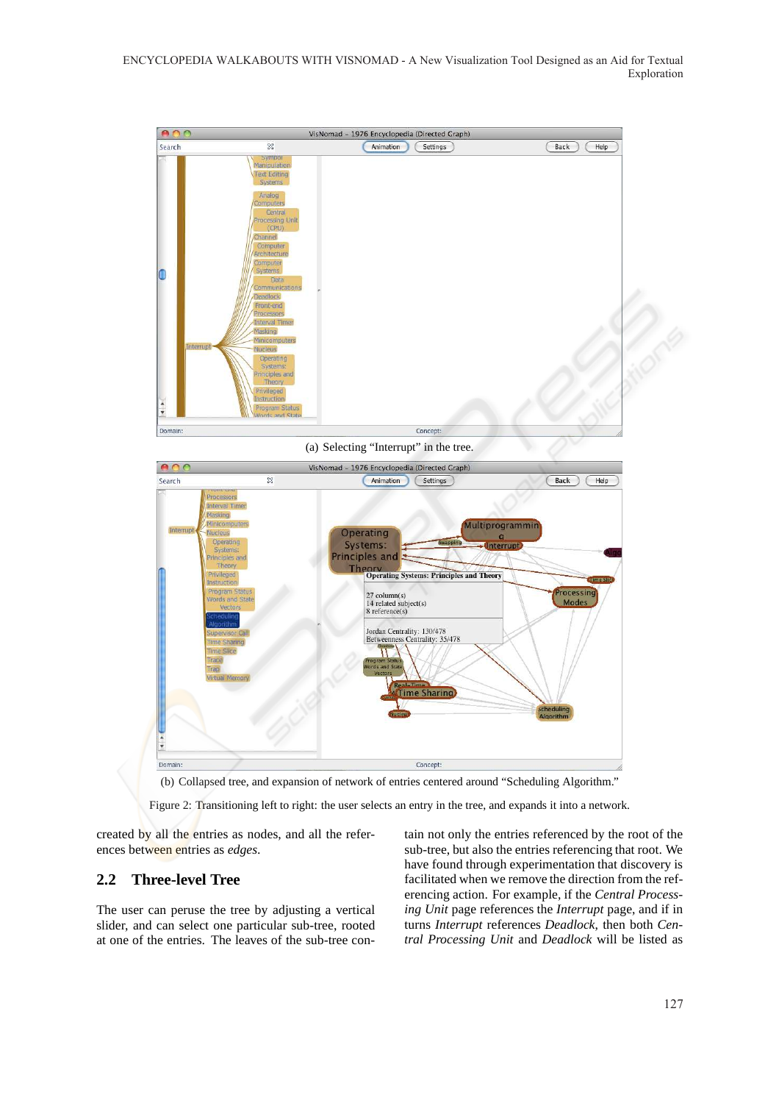ENCYCLOPEDIA WALKABOUTS WITH VISNOMAD - A New Visualization Tool Designed as an Aid for Textual Exploration



(a) Selecting "Interrupt" in the tree.



(b) Collapsed tree, and expansion of network of entries centered around "Scheduling Algorithm."

Figure 2: Transitioning left to right: the user selects an entry in the tree, and expands it into a network.

created by all the entries as nodes, and all the references between entries as *edges*.

#### **2.2 Three-level Tree**

The user can peruse the tree by adjusting a vertical slider, and can select one particular sub-tree, rooted at one of the entries. The leaves of the sub-tree contain not only the entries referenced by the root of the sub-tree, but also the entries referencing that root. We have found through experimentation that discovery is facilitated when we remove the direction from the referencing action. For example, if the *Central Processing Unit* page references the *Interrupt* page, and if in turns *Interrupt* references *Deadlock*, then both *Central Processing Unit* and *Deadlock* will be listed as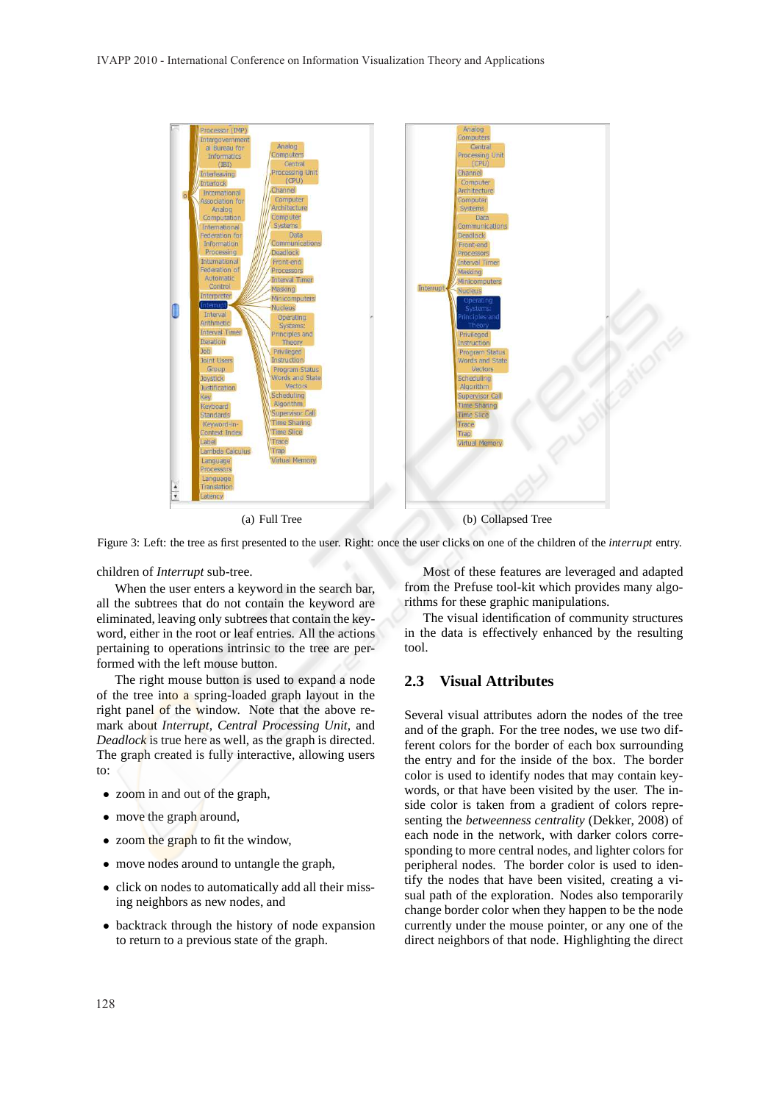

(a) Full Tree (b) Collapsed Tree

Figure 3: Left: the tree as first presented to the user. Right: once the user clicks on one of the children of the *interrupt* entry.

children of *Interrupt* sub-tree.

When the user enters a keyword in the search bar, all the subtrees that do not contain the keyword are eliminated, leaving only subtrees that contain the keyword, either in the root or leaf entries. All the actions pertaining to operations intrinsic to the tree are performed with the left mouse button.

The right mouse button is used to expand a node of the tree into a spring-loaded graph layout in the right panel of the window. Note that the above remark about *Interrupt*, *Central Processing Unit*, and *Deadlock* is true here as well, as the graph is directed. The graph created is fully interactive, allowing users to:

- zoom in and out of the graph,
- move the graph around,
- zoom the graph to fit the window,
- move nodes around to untangle the graph,
- click on nodes to automatically add all their missing neighbors as new nodes, and
- backtrack through the history of node expansion to return to a previous state of the graph.

Most of these features are leveraged and adapted from the Prefuse tool-kit which provides many algorithms for these graphic manipulations.

The visual identification of community structures in the data is effectively enhanced by the resulting tool.

#### **2.3 Visual Attributes**

Several visual attributes adorn the nodes of the tree and of the graph. For the tree nodes, we use two different colors for the border of each box surrounding the entry and for the inside of the box. The border color is used to identify nodes that may contain keywords, or that have been visited by the user. The inside color is taken from a gradient of colors representing the *betweenness centrality* (Dekker, 2008) of each node in the network, with darker colors corresponding to more central nodes, and lighter colors for peripheral nodes. The border color is used to identify the nodes that have been visited, creating a visual path of the exploration. Nodes also temporarily change border color when they happen to be the node currently under the mouse pointer, or any one of the direct neighbors of that node. Highlighting the direct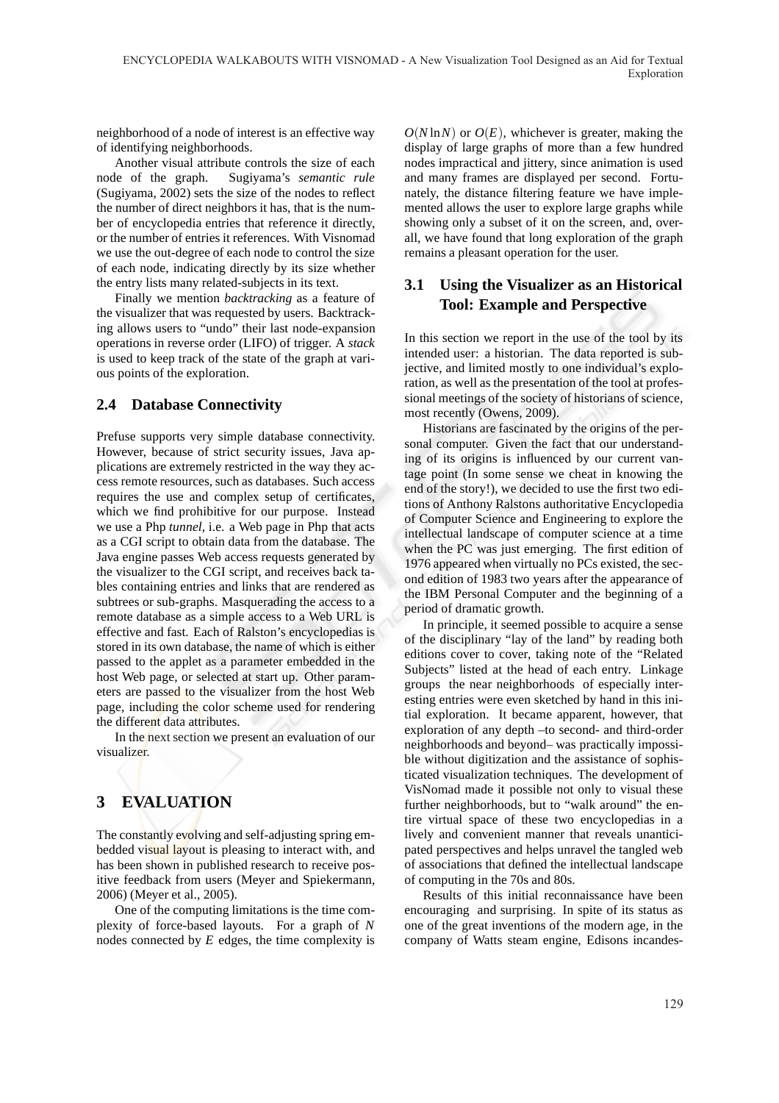neighborhood of a node of interest is an effective way of identifying neighborhoods.

Another visual attribute controls the size of each node of the graph. Sugiyama's *semantic rule* (Sugiyama, 2002) sets the size of the nodes to reflect the number of direct neighbors it has, that is the number of encyclopedia entries that reference it directly, or the number of entries it references. With Visnomad we use the out-degree of each node to control the size of each node, indicating directly by its size whether the entry lists many related-subjects in its text.

Finally we mention *backtracking* as a feature of the visualizer that was requested by users. Backtracking allows users to "undo" their last node-expansion operations in reverse order (LIFO) of trigger. A *stack* is used to keep track of the state of the graph at various points of the exploration.

#### **2.4 Database Connectivity**

Prefuse supports very simple database connectivity. However, because of strict security issues, Java applications are extremely restricted in the way they access remote resources, such as databases. Such access requires the use and complex setup of certificates, which we find prohibitive for our purpose. Instead we use a Php *tunnel*, i.e. a Web page in Php that acts as a CGI script to obtain data from the database. The Java engine passes Web access requests generated by the visualizer to the CGI script, and receives back tables containing entries and links that are rendered as subtrees or sub-graphs. Masquerading the access to a remote database as a simple access to a Web URL is effective and fast. Each of Ralston's encyclopedias is stored in its own database, the name of which is either passed to the applet as a parameter embedded in the host Web page, or selected at start up. Other parameters are passed to the visualizer from the host Web page, including the color scheme used for rendering the different data attributes.

In the next section we present an evaluation of our visualizer.

# **3 EVALUATION**

The constantly evolving and self-adjusting spring embedded visual layout is pleasing to interact with, and has been shown in published research to receive positive feedback from users (Meyer and Spiekermann, 2006) (Meyer et al., 2005).

One of the computing limitations is the time complexity of force-based layouts. For a graph of *N* nodes connected by *E* edges, the time complexity is  $O(N \ln N)$  or  $O(E)$ , whichever is greater, making the display of large graphs of more than a few hundred nodes impractical and jittery, since animation is used and many frames are displayed per second. Fortunately, the distance filtering feature we have implemented allows the user to explore large graphs while showing only a subset of it on the screen, and, overall, we have found that long exploration of the graph remains a pleasant operation for the user.

## **3.1 Using the Visualizer as an Historical Tool: Example and Perspective**

In this section we report in the use of the tool by its intended user: a historian. The data reported is subjective, and limited mostly to one individual's exploration, as well as the presentation of the tool at professional meetings of the society of historians of science, most recently (Owens, 2009).

Historians are fascinated by the origins of the personal computer. Given the fact that our understanding of its origins is influenced by our current vantage point (In some sense we cheat in knowing the end of the story!), we decided to use the first two editions of Anthony Ralstons authoritative Encyclopedia of Computer Science and Engineering to explore the intellectual landscape of computer science at a time when the PC was just emerging. The first edition of 1976 appeared when virtually no PCs existed, the second edition of 1983 two years after the appearance of the IBM Personal Computer and the beginning of a period of dramatic growth.

In principle, it seemed possible to acquire a sense of the disciplinary "lay of the land" by reading both editions cover to cover, taking note of the "Related Subjects" listed at the head of each entry. Linkage groups the near neighborhoods of especially interesting entries were even sketched by hand in this initial exploration. It became apparent, however, that exploration of any depth –to second- and third-order neighborhoods and beyond– was practically impossible without digitization and the assistance of sophisticated visualization techniques. The development of VisNomad made it possible not only to visual these further neighborhoods, but to "walk around" the entire virtual space of these two encyclopedias in a lively and convenient manner that reveals unanticipated perspectives and helps unravel the tangled web of associations that defined the intellectual landscape of computing in the 70s and 80s.

Results of this initial reconnaissance have been encouraging and surprising. In spite of its status as one of the great inventions of the modern age, in the company of Watts steam engine, Edisons incandes-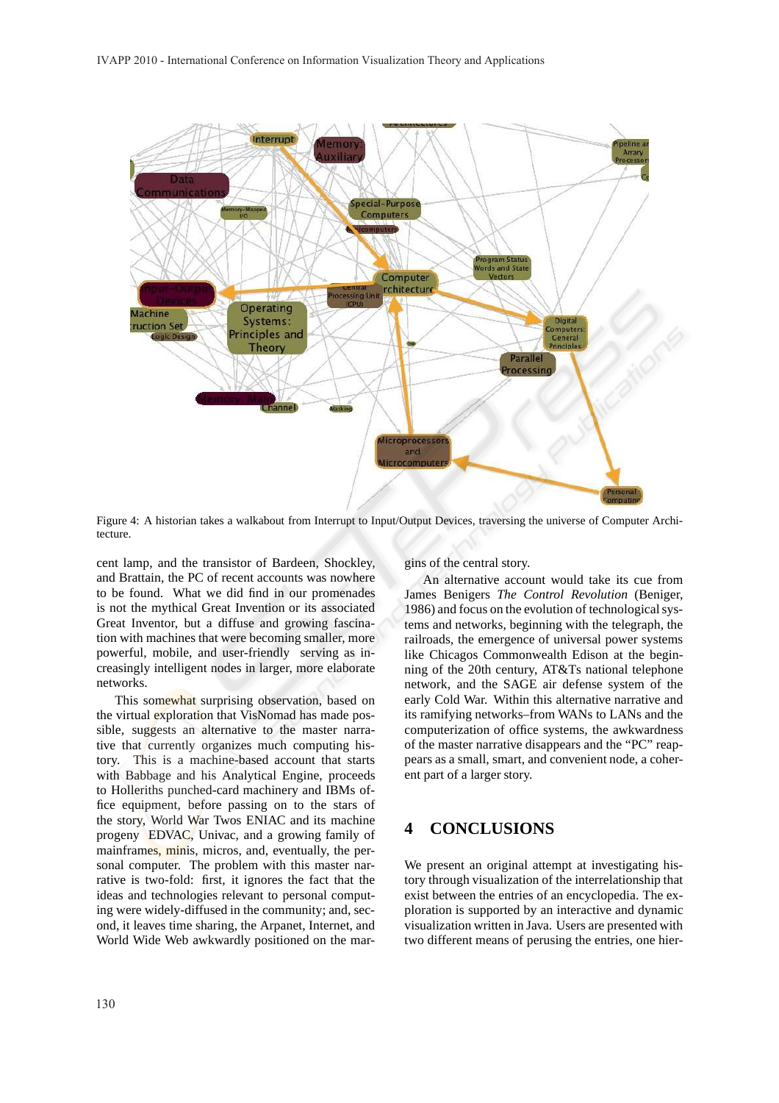

Figure 4: A historian takes a walkabout from Interrupt to Input/Output Devices, traversing the universe of Computer Architecture.

cent lamp, and the transistor of Bardeen, Shockley, and Brattain, the PC of recent accounts was nowhere to be found. What we did find in our promenades is not the mythical Great Invention or its associated Great Inventor, but a diffuse and growing fascination with machines that were becoming smaller, more powerful, mobile, and user-friendly serving as increasingly intelligent nodes in larger, more elaborate networks.

This somewhat surprising observation, based on the virtual exploration that VisNomad has made possible, suggests an alternative to the master narrative that currently organizes much computing history. This is a machine-based account that starts with Babbage and his Analytical Engine, proceeds to Holleriths punched-card machinery and IBMs office equipment, before passing on to the stars of the story, World War Twos ENIAC and its machine progeny EDVAC, Univac, and a growing family of mainframes, minis, micros, and, eventually, the personal computer. The problem with this master narrative is two-fold: first, it ignores the fact that the ideas and technologies relevant to personal computing were widely-diffused in the community; and, second, it leaves time sharing, the Arpanet, Internet, and World Wide Web awkwardly positioned on the margins of the central story.

An alternative account would take its cue from James Benigers *The Control Revolution* (Beniger, 1986) and focus on the evolution of technological systems and networks, beginning with the telegraph, the railroads, the emergence of universal power systems like Chicagos Commonwealth Edison at the beginning of the 20th century, AT&Ts national telephone network, and the SAGE air defense system of the early Cold War. Within this alternative narrative and its ramifying networks–from WANs to LANs and the computerization of office systems, the awkwardness of the master narrative disappears and the "PC" reappears as a small, smart, and convenient node, a coherent part of a larger story.

## **4 CONCLUSIONS**

We present an original attempt at investigating history through visualization of the interrelationship that exist between the entries of an encyclopedia. The exploration is supported by an interactive and dynamic visualization written in Java. Users are presented with two different means of perusing the entries, one hier